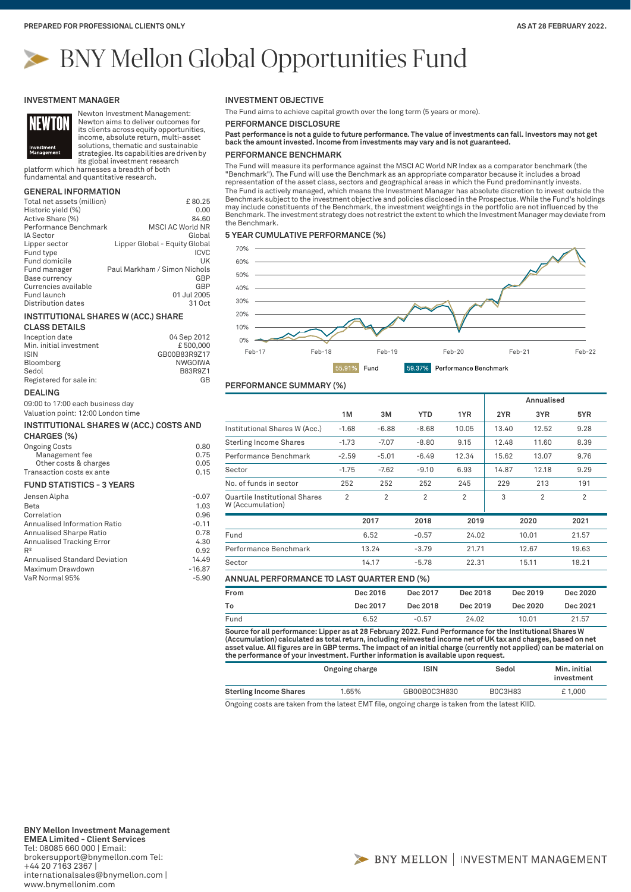# BNY Mellon Global Opportunities Fund

#### **INVESTMENT MANAGER**



Newton Investment Management: Newton aims to deliver outcomes for its clients across equity opportunities, income, absolute return, multi-asset

solutions, thematic and sustainable strategies. Its capabilities are driven by its global investment research

platform which harnesses a breadth of both fundamental and quantitative research.

# **GENERAL INFORMATION**

| Total net assets (million) | £80.25                        |
|----------------------------|-------------------------------|
| Historic yield (%)         | 0.00                          |
| Active Share (%)           | 84.60                         |
| Performance Benchmark      | <b>MSCI AC World NR</b>       |
| <b>IA Sector</b>           | Global                        |
| Lipper sector              | Lipper Global - Equity Global |
| Fund type                  | <b>ICVC</b>                   |
| Fund domicile              | UK                            |
| Fund manager               | Paul Markham / Simon Nichols  |
| Base currency              | GBP                           |
| Currencies available       | GBP                           |
| Fund launch                | 01 Jul 2005                   |
| Distribution dates         | 31 Oct                        |

#### **INSTITUTIONAL SHARES W (ACC.) SHARE**

| <b>CLASS DETAILS</b>    |                |
|-------------------------|----------------|
| Inception date          | 04 Sep 2012    |
| Min. initial investment | £500,000       |
| <b>ISIN</b>             | GB00B83R9Z17   |
| Bloomberg               | <b>NWGOIWA</b> |
| Sedol                   | B83R9Z1        |
| Registered for sale in: | GB             |

#### **DEALING**

09:00 to 17:00 each business day Valuation point: 12:00 London time

# **INSTITUTIONAL SHARES W (ACC.) COSTS AND CHARGES (%)**

| <b>Ongoing Costs</b>             | 0.80 |
|----------------------------------|------|
| Management fee                   | 0.75 |
| Other costs & charges            | 0.05 |
| Transaction costs ex ante        | 0.15 |
| <b>FUND STATISTICS - 3 YEARS</b> |      |
|                                  |      |

| Jensen Alpha                  | $-0.07$  |
|-------------------------------|----------|
| Beta                          | 1.03     |
| Correlation                   | 0.96     |
| Annualised Information Ratio  | $-0.11$  |
| Annualised Sharpe Ratio       | 0.78     |
| Annualised Tracking Error     | 4.30     |
| $R^2$                         | 0.92     |
| Annualised Standard Deviation | 14.49    |
| Maximum Drawdown              | $-16.87$ |
| VaR Normal 95%                | $-5.90$  |
|                               |          |

# **INVESTMENT OBJECTIVE**

The Fund aims to achieve capital growth over the long term (5 years or more).

**PERFORMANCE DISCLOSURE**

**Past performance is not a guide to future performance. The value of investments can fall. Investors may not get back the amount invested. Income from investments may vary and is not guaranteed.**

# **PERFORMANCE BENCHMARK**

The Fund will measure its performance against the MSCI AC World NR Index as a comparator benchmark (the "Benchmark"). The Fund will use the Benchmark as an appropriate comparator because it includes a broad representation of the asset class, sectors and geographical areas in which the Fund predominantly invests. The Fund is actively managed, which means the Investment Manager has absolute discretion to invest outside the Benchmark subject to the investment objective and policies disclosed in the Prospectus. While the Fund's holdings may include constituents of the Benchmark, the investment weightings in the portfolio are not influenced by the Benchmark. The investment strategy does not restrict the extent to which the Investment Manager may deviate from the Benchmark.

#### **5 YEAR CUMULATIVE PERFORMANCE (%)**



### **PERFORMANCE SUMMARY (%)**

|                                                          |         |         |            |       |       | Annualised |       |
|----------------------------------------------------------|---------|---------|------------|-------|-------|------------|-------|
|                                                          | 1M      | 3M      | <b>YTD</b> | 1YR   | 2YR   | 3YR        | 5YR   |
| Institutional Shares W (Acc.)                            | $-1.68$ | $-6.88$ | $-8.68$    | 10.05 | 13.40 | 12.52      | 9.28  |
| <b>Sterling Income Shares</b>                            | $-1.73$ | $-7.07$ | $-8.80$    | 9.15  | 12.48 | 11.60      | 8.39  |
| Performance Benchmark                                    | $-2.59$ | $-5.01$ | $-6.49$    | 12.34 | 15.62 | 13.07      | 9.76  |
| Sector                                                   | $-1.75$ | $-7.62$ | $-9.10$    | 6.93  | 14.87 | 12.18      | 9.29  |
| No. of funds in sector                                   | 252     | 252     | 252        | 245   | 229   | 213        | 191   |
| <b>Quartile Institutional Shares</b><br>W (Accumulation) | 2       | 2       | 2          | 2     | 3     | 2          | 2     |
|                                                          |         | 2017    | 2018       | 2019  |       | 2020       | 2021  |
| Fund                                                     |         | 6.52    | $-0.57$    | 24.02 |       | 10.01      | 21.57 |
| Performance Benchmark                                    | 13.24   |         | $-3.79$    | 21.71 |       | 12.67      |       |
| Sector                                                   |         | 14.17   | $-5.78$    | 22.31 |       | 15.11      | 18.21 |

# **ANNUAL PERFORMANCE TO LAST QUARTER END (%)**

| From | Dec 2016 | Dec 2017 | Dec 2018 | Dec 2019 | Dec 2020 |
|------|----------|----------|----------|----------|----------|
| To   | Dec 2017 | Dec 2018 | Dec 2019 | Dec 2020 | Dec 2021 |
| Fund | 6.52     | $-0.57$  | 24.02    | 10.01    | 21.57    |

**Source for all performance: Lipper as at 28 February 2022. Fund Performance for the Institutional Shares W (Accumulation) calculated as total return, including reinvested income net of UK tax and charges, based on net**  asset value. All figures are in GBP terms. The impact of an initial charge (currently not applied) can be material on<br>the performance of your investment. Further information is available upon request.

|                               | Ongoing charge | ISIN         | Sedol   | Min. initial<br>investment |
|-------------------------------|----------------|--------------|---------|----------------------------|
| <b>Sterling Income Shares</b> | 1.65%          | GB00B0C3H830 | B0C3H83 | £1.000                     |

Ongoing costs are taken from the latest EMT file, ongoing charge is taken from the latest KIID.